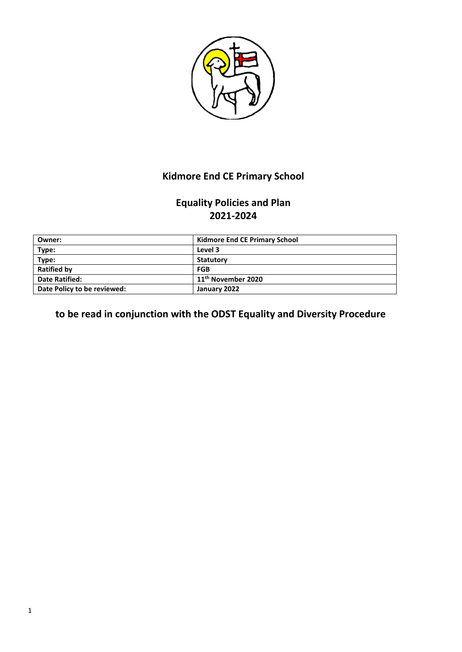

# **Kidmore End CE Primary School**

# **Equality Policies and Plan 2021-2024**

| Owner:                      | <b>Kidmore End CE Primary School</b> |
|-----------------------------|--------------------------------------|
| Type:                       | Level 3                              |
| Type:                       | Statutory                            |
| <b>Ratified by</b>          | FGB                                  |
| <b>Date Ratified:</b>       | 11 <sup>th</sup> November 2020       |
| Date Policy to be reviewed: | January 2022                         |

**to be read in conjunction with the ODST Equality and Diversity Procedure**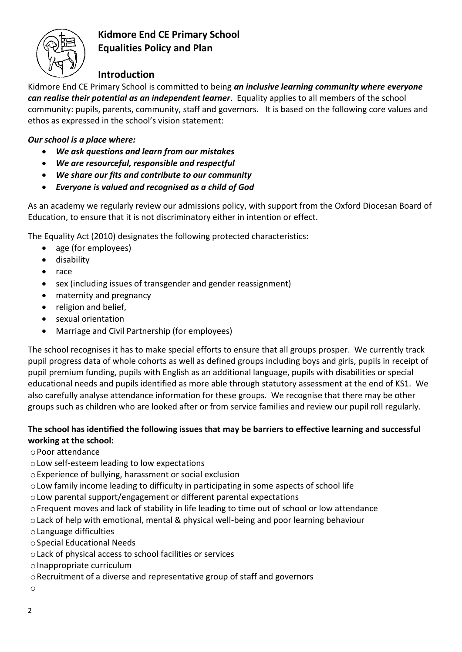

## **Kidmore End CE Primary School Equalities Policy and Plan**

# **Introduction**

Kidmore End CE Primary School is committed to being *an inclusive learning community where everyone can realise their potential as an independent learner*. Equality applies to all members of the school community: pupils, parents, community, staff and governors. It is based on the following core values and ethos as expressed in the school's vision statement:

## *Our school is a place where:*

- *We ask questions and learn from our mistakes*
- *We are resourceful, responsible and respectful*
- *We share our fits and contribute to our community*
- *Everyone is valued and recognised as a child of God*

As an academy we regularly review our admissions policy, with support from the Oxford Diocesan Board of Education, to ensure that it is not discriminatory either in intention or effect.

The Equality Act (2010) designates the following protected characteristics:

- age (for employees)
- disability
- race
- sex (including issues of transgender and gender reassignment)
- maternity and pregnancy
- religion and belief,
- sexual orientation
- Marriage and Civil Partnership (for employees)

The school recognises it has to make special efforts to ensure that all groups prosper. We currently track pupil progress data of whole cohorts as well as defined groups including boys and girls, pupils in receipt of pupil premium funding, pupils with English as an additional language, pupils with disabilities or special educational needs and pupils identified as more able through statutory assessment at the end of KS1. We also carefully analyse attendance information for these groups. We recognise that there may be other groups such as children who are looked after or from service families and review our pupil roll regularly.

## **The school has identified the following issues that may be barriers to effective learning and successful working at the school:**

- oPoor attendance
- oLow self-esteem leading to low expectations
- oExperience of bullying, harassment or social exclusion
- oLow family income leading to difficulty in participating in some aspects of school life
- oLow parental support/engagement or different parental expectations
- oFrequent moves and lack of stability in life leading to time out of school or low attendance
- oLack of help with emotional, mental & physical well-being and poor learning behaviour
- oLanguage difficulties
- oSpecial Educational Needs
- oLack of physical access to school facilities or services
- oInappropriate curriculum
- oRecruitment of a diverse and representative group of staff and governors
- o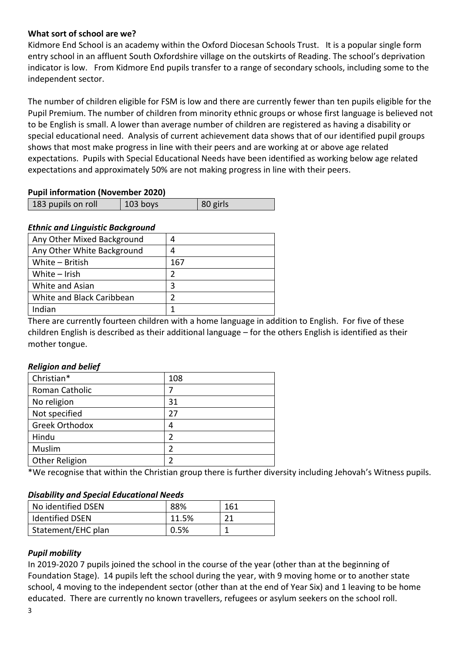### **What sort of school are we?**

Kidmore End School is an academy within the Oxford Diocesan Schools Trust. It is a popular single form entry school in an affluent South Oxfordshire village on the outskirts of Reading. The school's deprivation indicator is low. From Kidmore End pupils transfer to a range of secondary schools, including some to the independent sector.

The number of children eligible for FSM is low and there are currently fewer than ten pupils eligible for the Pupil Premium. The number of children from minority ethnic groups or whose first language is believed not to be English is small. A lower than average number of children are registered as having a disability or special educational need. Analysis of current achievement data shows that of our identified pupil groups shows that most make progress in line with their peers and are working at or above age related expectations. Pupils with Special Educational Needs have been identified as working below age related expectations and approximately 50% are not making progress in line with their peers.

#### **Pupil information (November 2020)**

| 183 pupils on roll | 103 boys | 80 girls |
|--------------------|----------|----------|

#### *Ethnic and Linguistic Background*

| Any Other Mixed Background |     |
|----------------------------|-----|
| Any Other White Background | 4   |
| White - British            | 167 |
| White $-$ Irish            |     |
| White and Asian            | З   |
| White and Black Caribbean  |     |
| Indian                     |     |

There are currently fourteen children with a home language in addition to English. For five of these children English is described as their additional language – for the others English is identified as their mother tongue.

### *Religion and belief*

| Christian*            | 108 |
|-----------------------|-----|
| Roman Catholic        |     |
| No religion           | 31  |
| Not specified         | 27  |
| <b>Greek Orthodox</b> | 4   |
| Hindu                 |     |
| Muslim                |     |
| Other Religion        |     |

\*We recognise that within the Christian group there is further diversity including Jehovah's Witness pupils.

#### *Disability and Special Educational Needs*

| No identified DSEN     | 88%   | 161 |
|------------------------|-------|-----|
| <b>Identified DSEN</b> | 11.5% | ን 1 |
| Statement/EHC plan     | 0.5%  |     |

### *Pupil mobility*

In 2019-2020 7 pupils joined the school in the course of the year (other than at the beginning of Foundation Stage). 14 pupils left the school during the year, with 9 moving home or to another state school, 4 moving to the independent sector (other than at the end of Year Six) and 1 leaving to be home educated. There are currently no known travellers, refugees or asylum seekers on the school roll.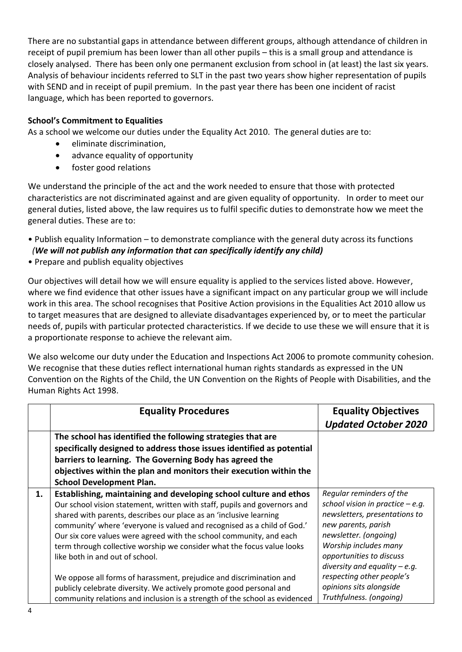There are no substantial gaps in attendance between different groups, although attendance of children in receipt of pupil premium has been lower than all other pupils – this is a small group and attendance is closely analysed. There has been only one permanent exclusion from school in (at least) the last six years. Analysis of behaviour incidents referred to SLT in the past two years show higher representation of pupils with SEND and in receipt of pupil premium. In the past year there has been one incident of racist language, which has been reported to governors.

### **School's Commitment to Equalities**

As a school we welcome our duties under the Equality Act 2010. The general duties are to:

- eliminate discrimination,
- advance equality of opportunity
- foster good relations

We understand the principle of the act and the work needed to ensure that those with protected characteristics are not discriminated against and are given equality of opportunity. In order to meet our general duties, listed above, the law requires us to fulfil specific duties to demonstrate how we meet the general duties. These are to:

- Publish equality Information to demonstrate compliance with the general duty across its functions  *(We will not publish any information that can specifically identify any child)*
- Prepare and publish equality objectives

Our objectives will detail how we will ensure equality is applied to the services listed above. However, where we find evidence that other issues have a significant impact on any particular group we will include work in this area. The school recognises that Positive Action provisions in the Equalities Act 2010 allow us to target measures that are designed to alleviate disadvantages experienced by, or to meet the particular needs of, pupils with particular protected characteristics. If we decide to use these we will ensure that it is a proportionate response to achieve the relevant aim.

We also welcome our duty under the Education and Inspections Act 2006 to promote community cohesion. We recognise that these duties reflect international human rights standards as expressed in the UN Convention on the Rights of the Child, the UN Convention on the Rights of People with Disabilities, and the Human Rights Act 1998.

|    | <b>Equality Procedures</b>                                                                                                                                                                                                                                                                                                                                                                                                                                                          | <b>Equality Objectives</b><br><b>Updated October 2020</b>                                                                                                                                                                             |
|----|-------------------------------------------------------------------------------------------------------------------------------------------------------------------------------------------------------------------------------------------------------------------------------------------------------------------------------------------------------------------------------------------------------------------------------------------------------------------------------------|---------------------------------------------------------------------------------------------------------------------------------------------------------------------------------------------------------------------------------------|
|    | The school has identified the following strategies that are<br>specifically designed to address those issues identified as potential<br>barriers to learning. The Governing Body has agreed the<br>objectives within the plan and monitors their execution within the<br><b>School Development Plan.</b>                                                                                                                                                                            |                                                                                                                                                                                                                                       |
| 1. | Establishing, maintaining and developing school culture and ethos<br>Our school vision statement, written with staff, pupils and governors and<br>shared with parents, describes our place as an 'inclusive learning<br>community' where 'everyone is valued and recognised as a child of God.'<br>Our six core values were agreed with the school community, and each<br>term through collective worship we consider what the focus value looks<br>like both in and out of school. | Regular reminders of the<br>school vision in practice $-e.g.$<br>newsletters, presentations to<br>new parents, parish<br>newsletter. (ongoing)<br>Worship includes many<br>opportunities to discuss<br>diversity and equality $-e.g.$ |
|    | We oppose all forms of harassment, prejudice and discrimination and<br>publicly celebrate diversity. We actively promote good personal and<br>community relations and inclusion is a strength of the school as evidenced                                                                                                                                                                                                                                                            | respecting other people's<br>opinions sits alongside<br>Truthfulness. (ongoing)                                                                                                                                                       |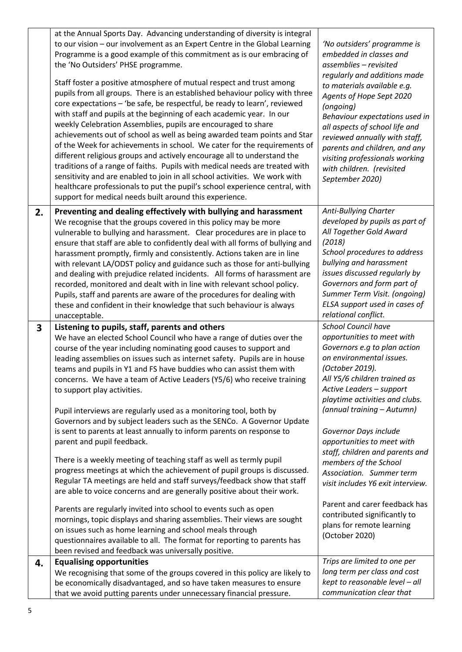|    | at the Annual Sports Day. Advancing understanding of diversity is integral<br>to our vision - our involvement as an Expert Centre in the Global Learning<br>Programme is a good example of this commitment as is our embracing of<br>the 'No Outsiders' PHSE programme.<br>Staff foster a positive atmosphere of mutual respect and trust among<br>pupils from all groups. There is an established behaviour policy with three<br>core expectations - 'be safe, be respectful, be ready to learn', reviewed<br>with staff and pupils at the beginning of each academic year. In our<br>weekly Celebration Assemblies, pupils are encouraged to share<br>achievements out of school as well as being awarded team points and Star<br>of the Week for achievements in school. We cater for the requirements of<br>different religious groups and actively encourage all to understand the<br>traditions of a range of faiths. Pupils with medical needs are treated with<br>sensitivity and are enabled to join in all school activities. We work with<br>healthcare professionals to put the pupil's school experience central, with<br>support for medical needs built around this experience.                                                                | 'No outsiders' programme is<br>embedded in classes and<br>assemblies - revisited<br>regularly and additions made<br>to materials available e.g.<br>Agents of Hope Sept 2020<br>(ongoing)<br>Behaviour expectations used in<br>all aspects of school life and<br>reviewed annually with staff,<br>parents and children, and any<br>visiting professionals working<br>with children. (revisited<br>September 2020)                                                                                                                          |
|----|---------------------------------------------------------------------------------------------------------------------------------------------------------------------------------------------------------------------------------------------------------------------------------------------------------------------------------------------------------------------------------------------------------------------------------------------------------------------------------------------------------------------------------------------------------------------------------------------------------------------------------------------------------------------------------------------------------------------------------------------------------------------------------------------------------------------------------------------------------------------------------------------------------------------------------------------------------------------------------------------------------------------------------------------------------------------------------------------------------------------------------------------------------------------------------------------------------------------------------------------------------------|-------------------------------------------------------------------------------------------------------------------------------------------------------------------------------------------------------------------------------------------------------------------------------------------------------------------------------------------------------------------------------------------------------------------------------------------------------------------------------------------------------------------------------------------|
| 2. | Preventing and dealing effectively with bullying and harassment                                                                                                                                                                                                                                                                                                                                                                                                                                                                                                                                                                                                                                                                                                                                                                                                                                                                                                                                                                                                                                                                                                                                                                                               | Anti-Bullying Charter                                                                                                                                                                                                                                                                                                                                                                                                                                                                                                                     |
|    | We recognise that the groups covered in this policy may be more<br>vulnerable to bullying and harassment. Clear procedures are in place to<br>ensure that staff are able to confidently deal with all forms of bullying and<br>harassment promptly, firmly and consistently. Actions taken are in line<br>with relevant LA/ODST policy and guidance such as those for anti-bullying<br>and dealing with prejudice related incidents.  All forms of harassment are<br>recorded, monitored and dealt with in line with relevant school policy.<br>Pupils, staff and parents are aware of the procedures for dealing with<br>these and confident in their knowledge that such behaviour is always<br>unacceptable.                                                                                                                                                                                                                                                                                                                                                                                                                                                                                                                                               | developed by pupils as part of<br>All Together Gold Award<br>(2018)<br>School procedures to address<br>bullying and harassment<br>issues discussed regularly by<br>Governors and form part of<br>Summer Term Visit. (ongoing)<br>ELSA support used in cases of<br>relational conflict.                                                                                                                                                                                                                                                    |
| 3  | Listening to pupils, staff, parents and others                                                                                                                                                                                                                                                                                                                                                                                                                                                                                                                                                                                                                                                                                                                                                                                                                                                                                                                                                                                                                                                                                                                                                                                                                | <b>School Council have</b>                                                                                                                                                                                                                                                                                                                                                                                                                                                                                                                |
|    | We have an elected School Council who have a range of duties over the<br>course of the year including nominating good causes to support and<br>leading assemblies on issues such as internet safety. Pupils are in house<br>teams and pupils in Y1 and FS have buddies who can assist them with<br>concerns. We have a team of Active Leaders (Y5/6) who receive training<br>to support play activities.<br>Pupil interviews are regularly used as a monitoring tool, both by<br>Governors and by subject leaders such as the SENCo. A Governor Update<br>is sent to parents at least annually to inform parents on response to<br>parent and pupil feedback.<br>There is a weekly meeting of teaching staff as well as termly pupil<br>progress meetings at which the achievement of pupil groups is discussed.<br>Regular TA meetings are held and staff surveys/feedback show that staff<br>are able to voice concerns and are generally positive about their work.<br>Parents are regularly invited into school to events such as open<br>mornings, topic displays and sharing assemblies. Their views are sought<br>on issues such as home learning and school meals through<br>questionnaires available to all. The format for reporting to parents has | opportunities to meet with<br>Governors e.g to plan action<br>on environmental issues.<br>(October 2019).<br>All Y5/6 children trained as<br>Active Leaders - support<br>playtime activities and clubs.<br>(annual training - Autumn)<br>Governor Days include<br>opportunities to meet with<br>staff, children and parents and<br>members of the School<br>Association. Summer term<br>visit includes Y6 exit interview.<br>Parent and carer feedback has<br>contributed significantly to<br>plans for remote learning<br>(October 2020) |
|    | been revised and feedback was universally positive.<br><b>Equalising opportunities</b>                                                                                                                                                                                                                                                                                                                                                                                                                                                                                                                                                                                                                                                                                                                                                                                                                                                                                                                                                                                                                                                                                                                                                                        | Trips are limited to one per                                                                                                                                                                                                                                                                                                                                                                                                                                                                                                              |
| 4. | We recognising that some of the groups covered in this policy are likely to<br>be economically disadvantaged, and so have taken measures to ensure<br>that we avoid putting parents under unnecessary financial pressure.                                                                                                                                                                                                                                                                                                                                                                                                                                                                                                                                                                                                                                                                                                                                                                                                                                                                                                                                                                                                                                     | long term per class and cost<br>kept to reasonable level - all<br>communication clear that                                                                                                                                                                                                                                                                                                                                                                                                                                                |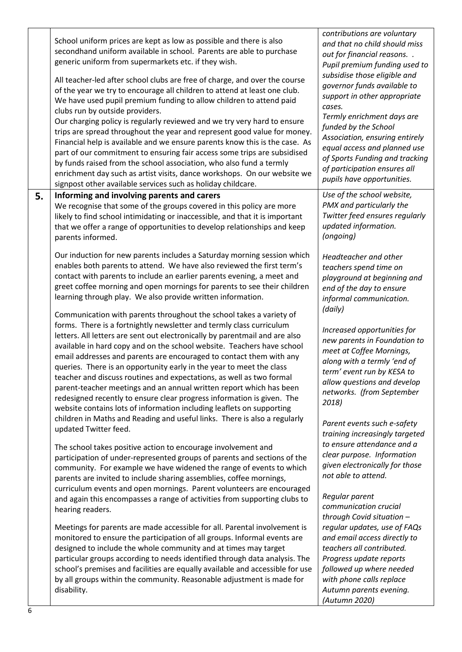|    | School uniform prices are kept as low as possible and there is also<br>secondhand uniform available in school. Parents are able to purchase<br>generic uniform from supermarkets etc. if they wish.<br>All teacher-led after school clubs are free of charge, and over the course<br>of the year we try to encourage all children to attend at least one club.<br>We have used pupil premium funding to allow children to attend paid<br>clubs run by outside providers.<br>Our charging policy is regularly reviewed and we try very hard to ensure<br>trips are spread throughout the year and represent good value for money.<br>Financial help is available and we ensure parents know this is the case. As<br>part of our commitment to ensuring fair access some trips are subsidised<br>by funds raised from the school association, who also fund a termly<br>enrichment day such as artist visits, dance workshops. On our website we<br>signpost other available services such as holiday childcare. | contributions are voluntary<br>and that no child should miss<br>out for financial reasons<br>Pupil premium funding used to<br>subsidise those eligible and<br>governor funds available to<br>support in other appropriate<br>cases.<br>Termly enrichment days are<br>funded by the School<br>Association, ensuring entirely<br>equal access and planned use<br>of Sports Funding and tracking<br>of participation ensures all<br>pupils have opportunities. |
|----|----------------------------------------------------------------------------------------------------------------------------------------------------------------------------------------------------------------------------------------------------------------------------------------------------------------------------------------------------------------------------------------------------------------------------------------------------------------------------------------------------------------------------------------------------------------------------------------------------------------------------------------------------------------------------------------------------------------------------------------------------------------------------------------------------------------------------------------------------------------------------------------------------------------------------------------------------------------------------------------------------------------|-------------------------------------------------------------------------------------------------------------------------------------------------------------------------------------------------------------------------------------------------------------------------------------------------------------------------------------------------------------------------------------------------------------------------------------------------------------|
| 5. | Informing and involving parents and carers<br>We recognise that some of the groups covered in this policy are more<br>likely to find school intimidating or inaccessible, and that it is important<br>that we offer a range of opportunities to develop relationships and keep<br>parents informed.                                                                                                                                                                                                                                                                                                                                                                                                                                                                                                                                                                                                                                                                                                            | Use of the school website,<br>PMX and particularly the<br>Twitter feed ensures regularly<br>updated information.<br>(ongoing)                                                                                                                                                                                                                                                                                                                               |
|    | Our induction for new parents includes a Saturday morning session which<br>enables both parents to attend. We have also reviewed the first term's<br>contact with parents to include an earlier parents evening, a meet and<br>greet coffee morning and open mornings for parents to see their children<br>learning through play. We also provide written information.<br>Communication with parents throughout the school takes a variety of                                                                                                                                                                                                                                                                                                                                                                                                                                                                                                                                                                  | Headteacher and other<br>teachers spend time on<br>playground at beginning and<br>end of the day to ensure<br>informal communication.<br>(daily)                                                                                                                                                                                                                                                                                                            |
|    | forms. There is a fortnightly newsletter and termly class curriculum<br>letters. All letters are sent out electronically by parentmail and are also<br>available in hard copy and on the school website. Teachers have school<br>email addresses and parents are encouraged to contact them with any<br>queries. There is an opportunity early in the year to meet the class<br>teacher and discuss routines and expectations, as well as two formal<br>parent-teacher meetings and an annual written report which has been<br>redesigned recently to ensure clear progress information is given. The<br>website contains lots of information including leaflets on supporting                                                                                                                                                                                                                                                                                                                                 | Increased opportunities for<br>new parents in Foundation to<br>meet at Coffee Mornings,<br>along with a termly 'end of<br>term' event run by KESA to<br>allow questions and develop<br>networks. (from September<br>2018)                                                                                                                                                                                                                                   |
|    | children in Maths and Reading and useful links. There is also a regularly<br>updated Twitter feed.<br>The school takes positive action to encourage involvement and<br>participation of under-represented groups of parents and sections of the<br>community. For example we have widened the range of events to which<br>parents are invited to include sharing assemblies, coffee mornings,<br>curriculum events and open mornings. Parent volunteers are encouraged                                                                                                                                                                                                                                                                                                                                                                                                                                                                                                                                         | Parent events such e-safety<br>training increasingly targeted<br>to ensure attendance and a<br>clear purpose. Information<br>given electronically for those<br>not able to attend.                                                                                                                                                                                                                                                                          |
|    | and again this encompasses a range of activities from supporting clubs to<br>hearing readers.                                                                                                                                                                                                                                                                                                                                                                                                                                                                                                                                                                                                                                                                                                                                                                                                                                                                                                                  | Regular parent<br>communication crucial<br>through Covid situation -                                                                                                                                                                                                                                                                                                                                                                                        |
|    | Meetings for parents are made accessible for all. Parental involvement is<br>monitored to ensure the participation of all groups. Informal events are<br>designed to include the whole community and at times may target<br>particular groups according to needs identified through data analysis. The<br>school's premises and facilities are equally available and accessible for use<br>by all groups within the community. Reasonable adjustment is made for<br>disability.                                                                                                                                                                                                                                                                                                                                                                                                                                                                                                                                | regular updates, use of FAQs<br>and email access directly to<br>teachers all contributed.<br>Progress update reports<br>followed up where needed<br>with phone calls replace<br>Autumn parents evening.                                                                                                                                                                                                                                                     |
|    |                                                                                                                                                                                                                                                                                                                                                                                                                                                                                                                                                                                                                                                                                                                                                                                                                                                                                                                                                                                                                | (Autumn 2020)                                                                                                                                                                                                                                                                                                                                                                                                                                               |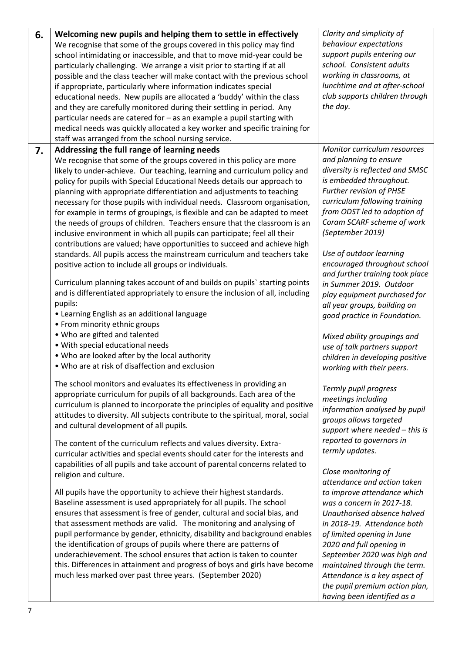| 6. | Welcoming new pupils and helping them to settle in effectively<br>We recognise that some of the groups covered in this policy may find<br>school intimidating or inaccessible, and that to move mid-year could be<br>particularly challenging. We arrange a visit prior to starting if at all<br>possible and the class teacher will make contact with the previous school<br>if appropriate, particularly where information indicates special<br>educational needs. New pupils are allocated a 'buddy' within the class<br>and they are carefully monitored during their settling in period. Any<br>particular needs are catered for - as an example a pupil starting with<br>medical needs was quickly allocated a key worker and specific training for<br>staff was arranged from the school nursing service.                                                                                                                                                                                                                                                                                                                                                                                                                                                                                | Clarity and simplicity of<br>behaviour expectations<br>support pupils entering our<br>school. Consistent adults<br>working in classrooms, at<br>lunchtime and at after-school<br>club supports children through<br>the day.                                                                                                                                                                                                                                                                                                                                                                                                     |
|----|-------------------------------------------------------------------------------------------------------------------------------------------------------------------------------------------------------------------------------------------------------------------------------------------------------------------------------------------------------------------------------------------------------------------------------------------------------------------------------------------------------------------------------------------------------------------------------------------------------------------------------------------------------------------------------------------------------------------------------------------------------------------------------------------------------------------------------------------------------------------------------------------------------------------------------------------------------------------------------------------------------------------------------------------------------------------------------------------------------------------------------------------------------------------------------------------------------------------------------------------------------------------------------------------------|---------------------------------------------------------------------------------------------------------------------------------------------------------------------------------------------------------------------------------------------------------------------------------------------------------------------------------------------------------------------------------------------------------------------------------------------------------------------------------------------------------------------------------------------------------------------------------------------------------------------------------|
| 7. | Addressing the full range of learning needs                                                                                                                                                                                                                                                                                                                                                                                                                                                                                                                                                                                                                                                                                                                                                                                                                                                                                                                                                                                                                                                                                                                                                                                                                                                     | Monitor curriculum resources                                                                                                                                                                                                                                                                                                                                                                                                                                                                                                                                                                                                    |
|    | We recognise that some of the groups covered in this policy are more<br>likely to under-achieve. Our teaching, learning and curriculum policy and<br>policy for pupils with Special Educational Needs details our approach to<br>planning with appropriate differentiation and adjustments to teaching<br>necessary for those pupils with individual needs. Classroom organisation,<br>for example in terms of groupings, is flexible and can be adapted to meet<br>the needs of groups of children. Teachers ensure that the classroom is an<br>inclusive environment in which all pupils can participate; feel all their<br>contributions are valued; have opportunities to succeed and achieve high<br>standards. All pupils access the mainstream curriculum and teachers take<br>positive action to include all groups or individuals.<br>Curriculum planning takes account of and builds on pupils' starting points<br>and is differentiated appropriately to ensure the inclusion of all, including<br>pupils:<br>• Learning English as an additional language<br>• From minority ethnic groups<br>. Who are gifted and talented<br>• With special educational needs<br>• Who are looked after by the local authority<br>. Who are at risk of disaffection and exclusion                 | and planning to ensure<br>diversity is reflected and SMSC<br>is embedded throughout.<br>Further revision of PHSE<br>curriculum following training<br>from ODST led to adoption of<br>Coram SCARF scheme of work<br>(September 2019)<br>Use of outdoor learning<br>encouraged throughout school<br>and further training took place<br>in Summer 2019. Outdoor<br>play equipment purchased for<br>all year groups, building on<br>good practice in Foundation.<br>Mixed ability groupings and<br>use of talk partners support<br>children in developing positive                                                                  |
|    | The school monitors and evaluates its effectiveness in providing an<br>appropriate curriculum for pupils of all backgrounds. Each area of the<br>curriculum is planned to incorporate the principles of equality and positive<br>attitudes to diversity. All subjects contribute to the spiritual, moral, social<br>and cultural development of all pupils.<br>The content of the curriculum reflects and values diversity. Extra-<br>curricular activities and special events should cater for the interests and<br>capabilities of all pupils and take account of parental concerns related to<br>religion and culture.<br>All pupils have the opportunity to achieve their highest standards.<br>Baseline assessment is used appropriately for all pupils. The school<br>ensures that assessment is free of gender, cultural and social bias, and<br>that assessment methods are valid. The monitoring and analysing of<br>pupil performance by gender, ethnicity, disability and background enables<br>the identification of groups of pupils where there are patterns of<br>underachievement. The school ensures that action is taken to counter<br>this. Differences in attainment and progress of boys and girls have become<br>much less marked over past three years. (September 2020) | working with their peers.<br>Termly pupil progress<br>meetings including<br>information analysed by pupil<br>groups allows targeted<br>support where needed - this is<br>reported to governors in<br>termly updates.<br>Close monitoring of<br>attendance and action taken<br>to improve attendance which<br>was a concern in 2017-18.<br>Unauthorised absence halved<br>in 2018-19. Attendance both<br>of limited opening in June<br>2020 and full opening in<br>September 2020 was high and<br>maintained through the term.<br>Attendance is a key aspect of<br>the pupil premium action plan,<br>having been identified as a |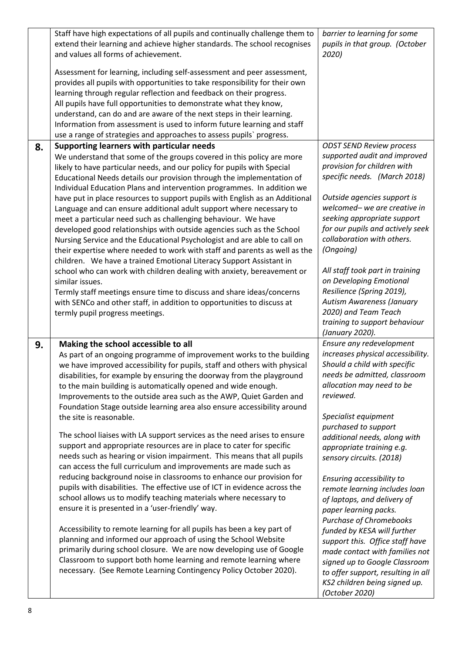|    | Staff have high expectations of all pupils and continually challenge them to<br>extend their learning and achieve higher standards. The school recognises<br>and values all forms of achievement.<br>Assessment for learning, including self-assessment and peer assessment,<br>provides all pupils with opportunities to take responsibility for their own<br>learning through regular reflection and feedback on their progress.<br>All pupils have full opportunities to demonstrate what they know,<br>understand, can do and are aware of the next steps in their learning.<br>Information from assessment is used to inform future learning and staff<br>use a range of strategies and approaches to assess pupils' progress.                                                                                                                                                                                                                                                                                                                                                                                                                                                                                                                                                                                                                                                                                                                         | barrier to learning for some<br>pupils in that group. (October<br>2020)                                                                                                                                                                                                                                                                                                                                                                                                                                                                                                                                                                                                                                |
|----|-------------------------------------------------------------------------------------------------------------------------------------------------------------------------------------------------------------------------------------------------------------------------------------------------------------------------------------------------------------------------------------------------------------------------------------------------------------------------------------------------------------------------------------------------------------------------------------------------------------------------------------------------------------------------------------------------------------------------------------------------------------------------------------------------------------------------------------------------------------------------------------------------------------------------------------------------------------------------------------------------------------------------------------------------------------------------------------------------------------------------------------------------------------------------------------------------------------------------------------------------------------------------------------------------------------------------------------------------------------------------------------------------------------------------------------------------------------|--------------------------------------------------------------------------------------------------------------------------------------------------------------------------------------------------------------------------------------------------------------------------------------------------------------------------------------------------------------------------------------------------------------------------------------------------------------------------------------------------------------------------------------------------------------------------------------------------------------------------------------------------------------------------------------------------------|
| 8. | Supporting learners with particular needs<br>We understand that some of the groups covered in this policy are more<br>likely to have particular needs, and our policy for pupils with Special<br>Educational Needs details our provision through the implementation of<br>Individual Education Plans and intervention programmes. In addition we<br>have put in place resources to support pupils with English as an Additional<br>Language and can ensure additional adult support where necessary to<br>meet a particular need such as challenging behaviour. We have<br>developed good relationships with outside agencies such as the School<br>Nursing Service and the Educational Psychologist and are able to call on<br>their expertise where needed to work with staff and parents as well as the<br>children. We have a trained Emotional Literacy Support Assistant in<br>school who can work with children dealing with anxiety, bereavement or<br>similar issues.<br>Termly staff meetings ensure time to discuss and share ideas/concerns<br>with SENCo and other staff, in addition to opportunities to discuss at<br>termly pupil progress meetings.                                                                                                                                                                                                                                                                                        | <b>ODST SEND Review process</b><br>supported audit and improved<br>provision for children with<br>specific needs. (March 2018)<br>Outside agencies support is<br>welcomed-we are creative in<br>seeking appropriate support<br>for our pupils and actively seek<br>collaboration with others.<br>(Ongoing)<br>All staff took part in training<br>on Developing Emotional<br>Resilience (Spring 2019),<br><b>Autism Awareness (January</b><br>2020) and Team Teach<br>training to support behaviour<br>(January 2020).                                                                                                                                                                                  |
| 9. | Making the school accessible to all<br>As part of an ongoing programme of improvement works to the building<br>we have improved accessibility for pupils, staff and others with physical<br>disabilities, for example by ensuring the doorway from the playground<br>to the main building is automatically opened and wide enough.<br>Improvements to the outside area such as the AWP, Quiet Garden and<br>Foundation Stage outside learning area also ensure accessibility around<br>the site is reasonable.<br>The school liaises with LA support services as the need arises to ensure<br>support and appropriate resources are in place to cater for specific<br>needs such as hearing or vision impairment. This means that all pupils<br>can access the full curriculum and improvements are made such as<br>reducing background noise in classrooms to enhance our provision for<br>pupils with disabilities. The effective use of ICT in evidence across the<br>school allows us to modify teaching materials where necessary to<br>ensure it is presented in a 'user-friendly' way.<br>Accessibility to remote learning for all pupils has been a key part of<br>planning and informed our approach of using the School Website<br>primarily during school closure. We are now developing use of Google<br>Classroom to support both home learning and remote learning where<br>necessary. (See Remote Learning Contingency Policy October 2020). | Ensure any redevelopment<br>increases physical accessibility.<br>Should a child with specific<br>needs be admitted, classroom<br>allocation may need to be<br>reviewed.<br>Specialist equipment<br>purchased to support<br>additional needs, along with<br>appropriate training e.g.<br>sensory circuits. (2018)<br>Ensuring accessibility to<br>remote learning includes loan<br>of laptops, and delivery of<br>paper learning packs.<br><b>Purchase of Chromebooks</b><br>funded by KESA will further<br>support this. Office staff have<br>made contact with families not<br>signed up to Google Classroom<br>to offer support, resulting in all<br>KS2 children being signed up.<br>(October 2020) |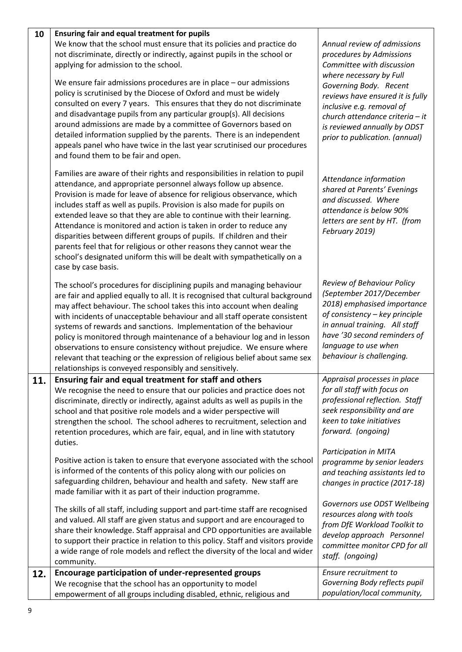| 10  | Ensuring fair and equal treatment for pupils<br>We know that the school must ensure that its policies and practice do<br>not discriminate, directly or indirectly, against pupils in the school or<br>applying for admission to the school.<br>We ensure fair admissions procedures are in place - our admissions<br>policy is scrutinised by the Diocese of Oxford and must be widely<br>consulted on every 7 years. This ensures that they do not discriminate<br>and disadvantage pupils from any particular group(s). All decisions<br>around admissions are made by a committee of Governors based on<br>detailed information supplied by the parents. There is an independent<br>appeals panel who have twice in the last year scrutinised our procedures<br>and found them to be fair and open.                                                                                                                                                                                                                                                                                                                                                                  | Annual review of admissions<br>procedures by Admissions<br>Committee with discussion<br>where necessary by Full<br>Governing Body. Recent<br>reviews have ensured it is fully<br>inclusive e.g. removal of<br>church attendance criteria - it<br>is reviewed annually by ODST<br>prior to publication. (annual)                                                                                                                                                                            |
|-----|-------------------------------------------------------------------------------------------------------------------------------------------------------------------------------------------------------------------------------------------------------------------------------------------------------------------------------------------------------------------------------------------------------------------------------------------------------------------------------------------------------------------------------------------------------------------------------------------------------------------------------------------------------------------------------------------------------------------------------------------------------------------------------------------------------------------------------------------------------------------------------------------------------------------------------------------------------------------------------------------------------------------------------------------------------------------------------------------------------------------------------------------------------------------------|--------------------------------------------------------------------------------------------------------------------------------------------------------------------------------------------------------------------------------------------------------------------------------------------------------------------------------------------------------------------------------------------------------------------------------------------------------------------------------------------|
|     | Families are aware of their rights and responsibilities in relation to pupil<br>attendance, and appropriate personnel always follow up absence.<br>Provision is made for leave of absence for religious observance, which<br>includes staff as well as pupils. Provision is also made for pupils on<br>extended leave so that they are able to continue with their learning.<br>Attendance is monitored and action is taken in order to reduce any<br>disparities between different groups of pupils. If children and their<br>parents feel that for religious or other reasons they cannot wear the<br>school's designated uniform this will be dealt with sympathetically on a<br>case by case basis.                                                                                                                                                                                                                                                                                                                                                                                                                                                                 | Attendance information<br>shared at Parents' Evenings<br>and discussed. Where<br>attendance is below 90%<br>letters are sent by HT. (from<br>February 2019)                                                                                                                                                                                                                                                                                                                                |
|     | The school's procedures for disciplining pupils and managing behaviour<br>are fair and applied equally to all. It is recognised that cultural background<br>may affect behaviour. The school takes this into account when dealing<br>with incidents of unacceptable behaviour and all staff operate consistent<br>systems of rewards and sanctions. Implementation of the behaviour<br>policy is monitored through maintenance of a behaviour log and in lesson<br>observations to ensure consistency without prejudice. We ensure where<br>relevant that teaching or the expression of religious belief about same sex<br>relationships is conveyed responsibly and sensitively.                                                                                                                                                                                                                                                                                                                                                                                                                                                                                       | Review of Behaviour Policy<br>(September 2017/December<br>2018) emphasised importance<br>of consistency - key principle<br>in annual training. All staff<br>have '30 second reminders of<br>language to use when<br>behaviour is challenging.                                                                                                                                                                                                                                              |
| 11. | Ensuring fair and equal treatment for staff and others<br>We recognise the need to ensure that our policies and practice does not<br>discriminate, directly or indirectly, against adults as well as pupils in the<br>school and that positive role models and a wider perspective will<br>strengthen the school. The school adheres to recruitment, selection and<br>retention procedures, which are fair, equal, and in line with statutory<br>duties.<br>Positive action is taken to ensure that everyone associated with the school<br>is informed of the contents of this policy along with our policies on<br>safeguarding children, behaviour and health and safety. New staff are<br>made familiar with it as part of their induction programme.<br>The skills of all staff, including support and part-time staff are recognised<br>and valued. All staff are given status and support and are encouraged to<br>share their knowledge. Staff appraisal and CPD opportunities are available<br>to support their practice in relation to this policy. Staff and visitors provide<br>a wide range of role models and reflect the diversity of the local and wider | Appraisal processes in place<br>for all staff with focus on<br>professional reflection. Staff<br>seek responsibility and are<br>keen to take initiatives<br>forward. (ongoing)<br>Participation in MITA<br>programme by senior leaders<br>and teaching assistants led to<br>changes in practice (2017-18)<br>Governors use ODST Wellbeing<br>resources along with tools<br>from DfE Workload Toolkit to<br>develop approach Personnel<br>committee monitor CPD for all<br>staff. (ongoing) |
| 12. | community.<br>Encourage participation of under-represented groups<br>We recognise that the school has an opportunity to model<br>empowerment of all groups including disabled, ethnic, religious and                                                                                                                                                                                                                                                                                                                                                                                                                                                                                                                                                                                                                                                                                                                                                                                                                                                                                                                                                                    | Ensure recruitment to<br>Governing Body reflects pupil<br>population/local community,                                                                                                                                                                                                                                                                                                                                                                                                      |